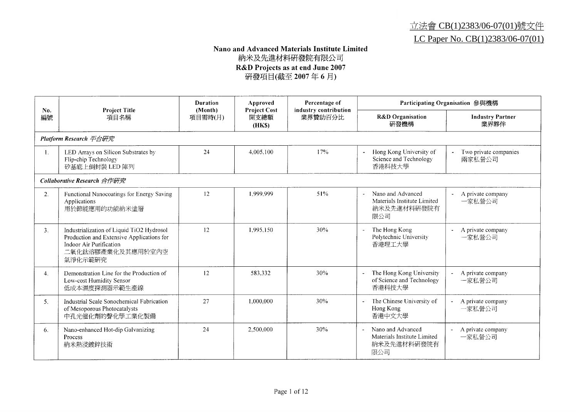### 立法會 CB(1)2383/06-07(01)號文件 LC Paper No. CB(1)2383/06-07(01)

## Nano and Advanced Materials Institute Limited 納米及先進材料研發院有限公司 R&D Projects as at end June 2007<br>研發項目(截至 2007年6月)

| No.            | <b>Project Title</b>                                                                                                                              | <b>Duration</b><br>(Month) | Approved<br><b>Project Cost</b> | Percentage of<br>industry contribution |                                                                                                    | Participating Organisation 參與機構 |
|----------------|---------------------------------------------------------------------------------------------------------------------------------------------------|----------------------------|---------------------------------|----------------------------------------|----------------------------------------------------------------------------------------------------|---------------------------------|
| 編號             | 項目名稱                                                                                                                                              | 項目需時(月)                    | 開支總額<br>(HKS)                   | 業界贊助百分比                                | <b>R&amp;D</b> Organisation<br>研發機構                                                                | <b>Industry Partner</b><br>業界夥伴 |
|                | Platform Research 平台研究                                                                                                                            |                            |                                 |                                        |                                                                                                    |                                 |
| Ι.             | LED Arrays on Silicon Substrates by<br>Flip-chip Technology<br>矽基底上倒封裝 LED 陣列                                                                     | 24                         | 4.005.100                       | 17%                                    | Hong Kong University of<br>$\blacksquare$<br>Science and Technology<br>香港科技大學                      | Two private companies<br>兩家私營公司 |
|                | Collaborative Research 合作研究                                                                                                                       |                            |                                 |                                        |                                                                                                    |                                 |
| 2.             | Functional Nanocoatings for Energy Saving<br>Applications<br>用於節能應用的功能納米塗層                                                                        | 12                         | 1.999.999                       | 51%                                    | Nano and Advanced<br>$\overline{\phantom{a}}$<br>Materials Institute Limited<br>納米及先進材料研發院有<br>限公司 | A private company<br>一家私營公司     |
| 3 <sub>1</sub> | Industrialization of Liquid TiO2 Hydrosol<br>Production and Extensive Applications for<br>Indoor Air Purification<br>二氧化鈦溶膠產業化及其應用於室內空<br>氣淨化示範研究 | 12                         | 1.995.150                       | 30%                                    | The Hong Kong<br>Polytechnic University<br>香港理工大學                                                  | A private company<br>一家私營公司     |
| 4.             | Demonstration Line for the Production of<br>Low-cost Humidity Sensor<br>低成本濕度探測器示範生產線                                                             | 12                         | 583.332                         | 30%                                    | The Hong Kong University<br>of Science and Technology<br>香港科技大學                                    | A private company<br>一家私營公司     |
| 5.             | Industrial Scale Sonochemical Fabrication<br>of Mesoporous Photocatalysts<br>中孔光催化劑的聲化學工業化製備                                                      | 27                         | 1.000.000                       | 30%                                    | The Chinese University of<br>$\blacksquare$<br>Hong Kong<br>香港中文大學                                 | A private company<br>一家私營公司     |
| 6.             | Nano-enhanced Hot-dip Galvanizing<br><b>Process</b><br>納米熱浸鍍鋅技術                                                                                   | 24                         | 2.500,000                       | 30%                                    | Nano and Advanced<br>$\overline{\phantom{a}}$<br>Materials Institute Limited<br>納米及先進材料研發院有<br>限公司 | A private company<br>一家私營公司     |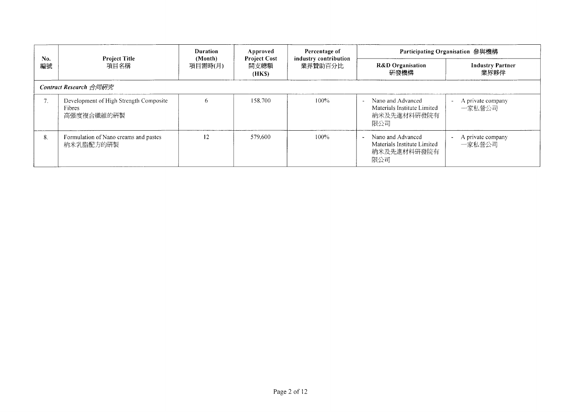| No.<br>編號 |                                                                | <b>Duration</b>    | Approved                             | Percentage of                    | Participating Organisation 參與機構                                        |                                 |  |
|-----------|----------------------------------------------------------------|--------------------|--------------------------------------|----------------------------------|------------------------------------------------------------------------|---------------------------------|--|
|           | <b>Project Title</b><br>項目名稱                                   | (Month)<br>項目需時(月) | <b>Project Cost</b><br>開支總額<br>(HKS) | industry contribution<br>業界贊助百分比 | <b>R&amp;D</b> Organisation<br>研發機構                                    | <b>Industry Partner</b><br>業界夥伴 |  |
|           | Contract Research 合同研究                                         |                    |                                      |                                  |                                                                        |                                 |  |
| 7.        | Development of High Strength Composite<br>Fibres<br>高强度複合纖維的研製 | 6                  | 158.700                              | $100\%$                          | Nano and Advanced<br>Materials Institute Limited<br>納米及先進材料研發院有<br>限公司 | A private company<br>一家私營公司     |  |
| 8.        | Formulation of Nano creams and pastes<br>納米乳脂配方的研製             | 12                 | 579.600                              | 100%                             | Nano and Advanced<br>Materials Institute Limited<br>納米及先進材料研發院有<br>限公司 | A private company<br>一家私營公司     |  |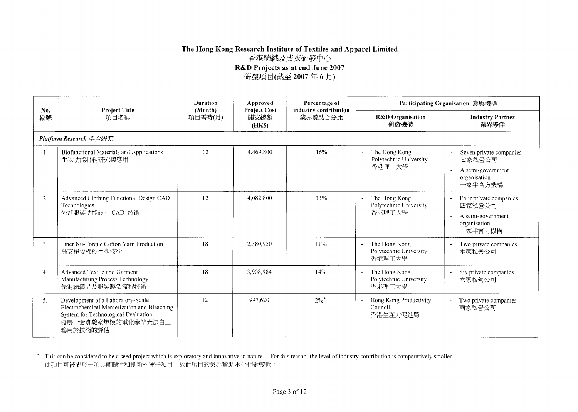### The Hong Kong Research Institute of Textiles and Apparel Limited 香港紡織及成衣研發中心 R&D Projects as at end June 2007 研發項目(截至 2007年6月)

| No.            | <b>Project Title</b>                                                                                                                                      | <b>Duration</b><br>(Month) | Approved<br><b>Project Cost</b>  | Percentage of                       |                                                             | Participating Organisation 參與機構                                                     |
|----------------|-----------------------------------------------------------------------------------------------------------------------------------------------------------|----------------------------|----------------------------------|-------------------------------------|-------------------------------------------------------------|-------------------------------------------------------------------------------------|
| 編號             | 項目名稱<br>項目需時(月)<br>開支總額<br>(HKS)                                                                                                                          |                            | industry contribution<br>業界贊助百分比 | <b>R&amp;D</b> Organisation<br>研發機構 | <b>Industry Partner</b><br>業界夥伴                             |                                                                                     |
|                | Platform Research 平台研究                                                                                                                                    |                            |                                  |                                     |                                                             |                                                                                     |
| $\mathbf{1}$ . | Biofunctional Materials and Applications<br>生物功能材料研究與應用                                                                                                   | 12                         | 4.469.800                        | 16%                                 | The Hong Kong<br>Polytechnic University<br>香港理工大學           | - Seven private companies<br>七家私營公司<br>A semi-government<br>organisation<br>一家半官方機構 |
| 2.             | Advanced Clothing Functional Design CAD<br>Technologies<br>先進服裝功能設計 CAD 技術                                                                                | 12                         | 4.082.800                        | 13%                                 | The Hong Kong<br>Polytechnic University<br>香港理工大學           | Four private companies<br>四家私營公司<br>A semi-government<br>organisation<br>一家半官方機構    |
| 3.             | Finer Nu-Torque Cotton Yarn Production<br>高支扭妥棉紗生產技術                                                                                                      | 18                         | 2,380,950                        | 11%                                 | The Hong Kong<br>$\sim$<br>Polytechnic University<br>香港理工大學 | Two private companies<br>兩家私營公司                                                     |
| 4.             | Advanced Textile and Garment<br>Manufacturing Process Technology<br>先進紡織品及服裝製造流程技術                                                                        | 18                         | 3,908.984                        | 14%                                 | The Hong Kong<br>Polytechnic University<br>香港理工大學           | Six private companies<br>六家私營公司                                                     |
| 5.             | Development of a Laboratory-Scale<br>Electrochemical Mercerization and Bleaching<br>System for Technological Evaluation<br>發展一套實驗室規模的電化學絲光漂白工<br>藝用於技術的評估 | 12                         | 997,620                          | $2\%$ <sup>*</sup>                  | Hong Kong Productivity<br>Council<br>香港生產力促進局               | Two private companies<br>兩家私營公司                                                     |

<sup>\*</sup> This can be considered to be a seed project which is exploratory and innovative in nature. For this reason, the level of industry contribution is comparatively smaller. 此項目可被視爲一項具前瞻性和創新的種子項目,故此項目的業界贊助水平相對較低。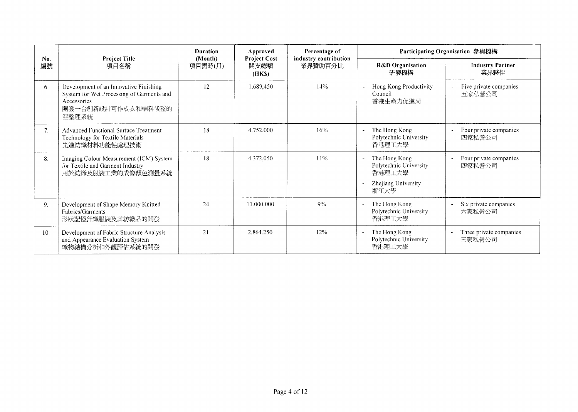|                |                                                                                                                                   | <b>Duration</b><br>(Month)          | Approved<br><b>Project Cost</b> | Percentage of         |                                                                                                              | Participating Organisation 參與機構   |
|----------------|-----------------------------------------------------------------------------------------------------------------------------------|-------------------------------------|---------------------------------|-----------------------|--------------------------------------------------------------------------------------------------------------|-----------------------------------|
| No.<br>編號      | <b>Project Title</b><br>項目名稱                                                                                                      | 開支總額<br>業界贊助百分比<br>項目需時(月)<br>(HKS) |                                 | industry contribution | <b>R&amp;D</b> Organisation<br>研發機構                                                                          | <b>Industry Partner</b><br>業界夥伴   |
| 6.             | Development of an Innovative Finishing<br>System for Wet Processing of Garments and<br>Accessories<br>開發一台創新設計可作成衣和輔料後整的<br>濕整理系統 | 12                                  | 1.689.450                       | 14%                   | Hong Kong Productivity<br>$\overline{a}$<br>Council<br>香港生產力促進局                                              | Five private companies<br>五家私營公司  |
| 7 <sub>1</sub> | Advanced Functional Surface Treatment<br>Technology for Textile Materials<br>先進紡織材料功能性處理技術                                        | 18                                  | 4.752.000                       | 16%                   | The Hong Kong<br>Polytechnic University<br>香港理工大學                                                            | Four private companies<br>四家私營公司  |
| 8.             | Imaging Colour Measurement (ICM) System<br>for Textile and Garment Industry<br>用於紡織及服裝工業的成像顏色測量系統                                 | 18                                  | 4.372.050                       | 11%                   | The Hong Kong<br>$\overline{\phantom{a}}$<br>Polytechnic University<br>香港理工大學<br>Zhejiang University<br>浙江大學 | Four private companies<br>四家私營公司  |
| 9.             | Development of Shape Memory Knitted<br>Fabrics/Garments<br>形狀記憶針織服裝及其紡織品的開發                                                       | 24                                  | 11.000.000                      | 9%                    | The Hong Kong<br>$\blacksquare$<br>Polytechnic University<br>香港理工大學                                          | Six private companies<br>六家私營公司   |
| 10.            | Development of Fabric Structure Analysis<br>and Appearance Evaluation System<br>織物結構分析和外觀評估系統的開發                                  | 21                                  | 2,864,250                       | 12%                   | The Hong Kong<br>$\tilde{\phantom{a}}$<br>Polytechnic University<br>香港理工大學                                   | Three private companies<br>三家私營公司 |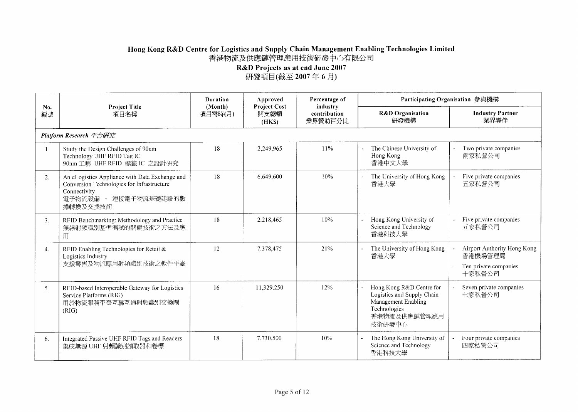# Hong Kong R&D Centre for Logistics and Supply Chain Management Enabling Technologies Limited<br>香港物流及供應鏈管理應用技術研發中心有限公司

R&D Projects as at end June 2007<br>研發項目(截至 2007年6月)

|                |                                                                                                                                                   | Duration<br>(Month)      | Approved<br><b>Project Cost</b> | Percentage of                       |                                                                                                                         | Participating Organisation 參與機構                                           |
|----------------|---------------------------------------------------------------------------------------------------------------------------------------------------|--------------------------|---------------------------------|-------------------------------------|-------------------------------------------------------------------------------------------------------------------------|---------------------------------------------------------------------------|
| No.<br>編號      | <b>Project Title</b><br>項目名稱                                                                                                                      | 開支總額<br>項目需時(月)<br>(HKS) |                                 | industry<br>contribution<br>業界贊助百分比 | <b>R&amp;D</b> Organisation<br>研發機構                                                                                     | <b>Industry Partner</b><br>業界夥伴                                           |
|                | <b>Platform Research</b> 平台研究                                                                                                                     |                          |                                 |                                     |                                                                                                                         |                                                                           |
| $1_{-}$        | Study the Design Challenges of 90nm<br>Technology UHF RFID Tag IC<br>90nm 工藝 UHF RFID 標籤 IC 之設計研究                                                 | 18                       | 2.249,965                       | 11%                                 | The Chinese University of<br>Hong Kong<br>香港中文大學                                                                        | Two private companies<br>兩家私營公司                                           |
| 2.             | An eLogistics Appliance with Data Exchange and<br>Conversion Technologies for Infrastructure<br>Connectivity<br>電子物流設備 - 連接電子物流基礎建設的數<br>據轉換及交換技術 | 18                       | 6.649.600                       | 10%                                 | The University of Hong Kong<br>香港大學                                                                                     | Five private companies<br>五家私營公司                                          |
| 3 <sub>1</sub> | RFID Benchmarking: Methodology and Practice<br>無線射頻識別基準測試的關鍵技術之方法及應<br>用                                                                          | 18                       | 2.218.465                       | 10%                                 | Hong Kong University of<br>Science and Technology<br>香港科技大學                                                             | Five private companies<br>五家私營公司                                          |
| 4.             | RFID Enabling Technologies for Retail &<br>Logistics Industry<br>支援零售及物流應用射頻識別技術之軟件平臺                                                             | 12                       | 7.378.475                       | 21%                                 | The University of Hong Kong<br>香港大學                                                                                     | Airport Authority Hong Kong<br>香港機場管理局<br>Ten private companies<br>十家私營公司 |
| 5.             | RFID-based Interoperable Gateway for Logistics<br>Service Platforms (RIG)<br>用於物流服務平臺互聯互通射頻識別交換閘<br>(RIG)                                         | 16                       | 11,329,250                      | 12%                                 | Hong Kong R&D Centre for<br>Logistics and Supply Chain<br>Management Enabling<br>Technologies<br>香港物流及供應鏈管理應用<br>技術研發中心 | Seven private companies<br>七家私營公司                                         |
| 6.             | Integrated Passive UHF RFID Tags and Readers<br>集成無源 UHF 射頻識別讀取器和卷標                                                                               | 18                       | 7,730,500                       | 10%                                 | The Hong Kong University of<br>Science and Technology<br>香港科技大學                                                         | Four private companies<br>四家私營公司                                          |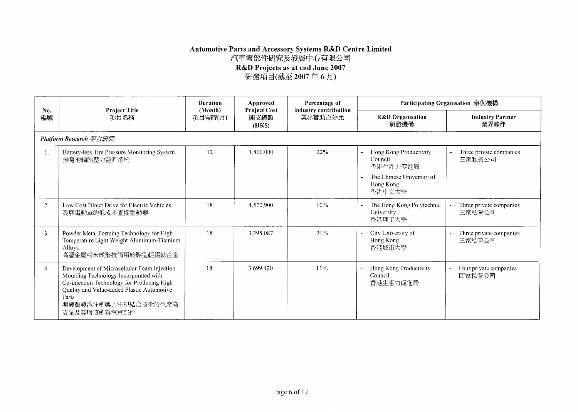## Automotive Parts and Accessory Systems R&D Centre Limited<br>汽車零部件研究及發展中心有限公司

R&D Projects as at end June 2007<br>研發項目(截至 2007 年 6 月)

| No.            | <b>Project Title</b>                                                                                                                                                                                                                    | <b>Duration</b><br>(Month) | Approved<br><b>Project Cost</b> | Percentage of<br>industry contribution |                                                                                                   | Participating Organisation 參與機構   |  |
|----------------|-----------------------------------------------------------------------------------------------------------------------------------------------------------------------------------------------------------------------------------------|----------------------------|---------------------------------|----------------------------------------|---------------------------------------------------------------------------------------------------|-----------------------------------|--|
| 編號             | 項目名稱                                                                                                                                                                                                                                    | 項目需時(月)                    | 開支總額<br>(HKS)                   | 業界贊助百分比                                | <b>R&amp;D</b> Organisation<br>研發機構                                                               | <b>Industry Partner</b><br>業界夥伴   |  |
|                | Platform Research 平台研究                                                                                                                                                                                                                  |                            |                                 |                                        |                                                                                                   |                                   |  |
|                | Battery-less Tire Pressure Monitoring System<br>無電池輪胎壓力監測系統                                                                                                                                                                             | 12                         | 1.800.000                       | 22%                                    | Hong Kong Productivity<br>Council<br>香港生產力促進局<br>The Chinese University of<br>Hong Kong<br>香港中文大學 | Three private companies<br>三家私營公司 |  |
| 2.             | Low Cost Direct Drive for Electric Vehicles<br>發展電動車的低成本直接驅動器                                                                                                                                                                           | 18                         | 4.570.900                       | 10%                                    | The Hong Kong Polytechnic<br>University<br>香港理工大學                                                 | Three private companies<br>三家私營公司 |  |
| 3 <sub>1</sub> | Powder Metal Forming Technology for High<br>Temperature Light Weight Aluminum-Titanium<br>Alloys<br>高溫金屬粉末成形技術用於製造輕鋁鈦合金                                                                                                                 | 18                         | 3.295.087                       | 21%                                    | City University of<br>Hong Kong<br>香港城市大學                                                         | Three private companies<br>三家私營公司 |  |
| 4.             | Development of Microcellular Foam Injection<br>Moulding Technology Incorporated with<br>Co-injection Technology for Producing High<br><b>Ouality and Value-added Plastic Automotive</b><br>Parts<br>開發微發泡注塑與共注塑結合技術於生產高<br>質量及高增值塑料汽車部件 | 18                         | 3.699.420                       | 11%                                    | Hong Kong Productivity<br>Council<br>香港生產力促進局                                                     | Four private companies<br>四家私營公司  |  |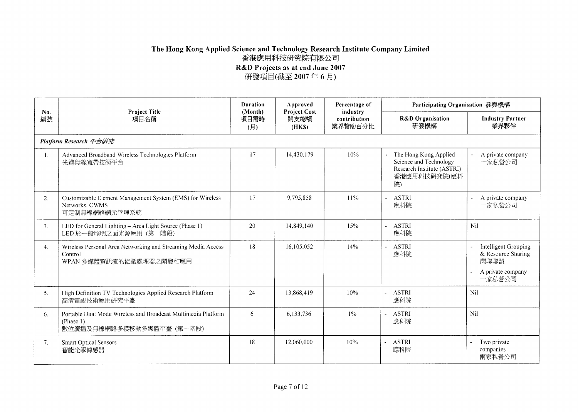#### The Hong Kong Applied Science and Technology Research Institute Company Limited 香港應用科技研究院有限公司 R&D Projects as at end June 2007 研發項目(截至 2007年6月)

**Duration** Approved Percentage of Participating Organisation 參與機構 No. **Project Title** (Month) **Project Cost** industry **R&D** Organisation **Industry Partner** 編號 項目名稱 項目需時 開支總額 contribution 業界贊助百分比 研發機構 業界夥伴 (月)  $(HKS)$ Platform Research 平台研究 Advanced Broadband Wireless Technologies Platform 17 14.430.179  $10%$ The Hong Kong Applied A private company  $\mathbf{1}$ . Science and Technology 一家私營公司 先進無線寬帶技術平台 Research Institute (ASTRI) 香港應用科技研究院(應科 院) Customizable Element Management System (EMS) for Wireless 17 9.795.858 11% **ASTRI**  $2.$  $\overline{a}$ A private company Networks: CWMS 應科院 一家私營公司 可定制無線網絡網元管理系統 LED for General Lighting - Area Light Source (Phase 1) Nil 20 14,849,140 15% **ASTRI**  $3.$ LED 於一般照明之面光源應用 (第一階段) 應科院 Wireless Personal Area Networking and Streaming Media Access 18 16.105.052 14% - ASTRI Intelligent Grouping  $\overline{4}$ . 應科院 & Resource Sharing Control 閃聯聯盟 WPAN 多媒體資訊流的協議處理器之開發和應用 A private company 一家私營公司 High Definition TV Technologies Applied Research Platform 24 13.868.419  $10%$ - ASTRI Nil  $5.$ 高清電視技術應用研究平臺 應科院 Nil 6  $1%$ **ASTRI** 6. Portable Dual Mode Wireless and Broadcast Multimedia Platform 6,133,736 (Phase 1) 應科院 數位廣播及無線網路多模移動多媒體平臺 (第一階段) 18 12.060.000 10% - ASTRI Two private  $7.$ **Smart Optical Sensors** 智能光學傳感器 應科院 companies 兩家私營公司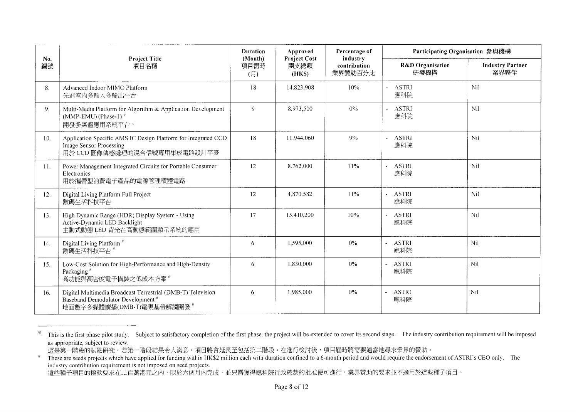| No.            | <b>Project Title</b>                                                                                                                       | <b>Duration</b><br>(Month) | Approved<br><b>Project Cost</b> | Percentage of<br>industry | Participating Organisation 參與機構     |                                 |
|----------------|--------------------------------------------------------------------------------------------------------------------------------------------|----------------------------|---------------------------------|---------------------------|-------------------------------------|---------------------------------|
| 編號             | 項目名稱                                                                                                                                       | 項目需時<br>(E)                | 開支總額<br>(HKS)                   | contribution<br>業界贊助百分比   | <b>R&amp;D</b> Organisation<br>研發機構 | <b>Industry Partner</b><br>業界夥伴 |
| 8.             | Advanced Indoor MIMO Platform<br>先進室内多輸入多輸出平台                                                                                              | 18                         | 14.823,908                      | 10%                       | - ASTRI<br>應科院                      | Nil                             |
| 9 <sub>1</sub> | Multi-Media Platform for Algorithm & Application Development<br>(MMP-EMU) (Phase-1) $^{\circ}$<br>開發多媒體應用系統平台"                             | 9                          | 8.973,500                       | $0\%$                     | - ASTRI<br>應科院                      | Nil                             |
| 10.            | Application Specific AMS IC Design Platform for Integrated CCD<br><b>Image Sensor Processing</b><br>用於 CCD 圖像傳感處理的混合信號專用集成電路設計平臺           | 18                         | 11.944.060                      | 9%                        | - ASTRI<br>應科院                      | Nil                             |
| 11.            | Power Management Integrated Circuits for Portable Consumer<br>Electronics<br>用於攜帶型消費電子產品的電源管理積體電路                                          | 12                         | 8.762,000                       | 11%                       | <b>ASTRI</b><br>應科院                 | Nil                             |
| 12.            | Digital Living Platform Full Project<br>數碼生活科技平台                                                                                           | 12                         | 4.870.582                       | 11%                       | - ASTRI<br>應科院                      | Nil                             |
| 13.            | High Dynamic Range (HDR) Display System - Using<br>Active-Dynamic LED Backlight<br>主動式動態 LED 背光在高動態範圍顯示系統的應用                               | 17                         | 15.410.200                      | 10%                       | - ASTRI<br>應科院                      | Nil                             |
| 14.            | Digital Living Platform <sup>#</sup><br>數碼生活科技平台#                                                                                          | 6                          | 1,595,000                       | $0\%$                     | <b>ASTRI</b><br>應科院                 | Nil                             |
| 15.            | Low-Cost Solution for High-Performance and High-Density<br>Packaging <sup>#</sup><br>高功能與高密度電子構裝之低成本方案 #                                   | 6                          | 1,830,000                       | $0\%$                     | <b>ASTRI</b><br>應科院                 | Nil                             |
| 16.            | Digital Multimedia Broadcast Terrestrial (DMB-T) Television<br>Baseband Demodulator Development <sup>#</sup><br>地面數字多媒體廣播(DMB-T)電視基帶解調開發 # | 6                          | 1,985,000                       | 0%                        | <b>ASTRI</b><br>應科院                 | Nil                             |

 $\overline{a}$ This is the first phase pilot study. Subject to satisfactory completion of the first phase, the project will be extended to cover its second stage. The industry contribution requirement will be imposed as appropriate, subject to review.

這是第一階段的試點研究。若第一階段結果令人滿意,項目將會延長至包括第二階段。在進行檢討後,項目屆時將需要適當地尋求業界的贊助。

These are seeds projects which have applied for funding within HK\$2 million each with duration confined to a 6-month period and would require the endorsement of ASTRI's CEO only. The  $\#$ rness are seeds projects which have applied for randing which there inhuring the summar commer constraint proces<br>industry contribution requirement is not imposed on seed projects.<br>這些種子項目的撥款要求在二百萬港元之內,限於六個月內完成,並只需獲得應科院行政總裁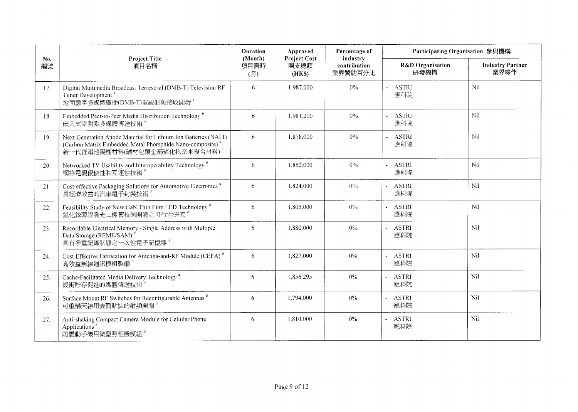|           |                                                                                                                                                                                      | <b>Duration</b>        | Approved<br><b>Project Cost</b> | Percentage of                       | Participating Organisation 參與機構     |                                 |
|-----------|--------------------------------------------------------------------------------------------------------------------------------------------------------------------------------------|------------------------|---------------------------------|-------------------------------------|-------------------------------------|---------------------------------|
| No.<br>編號 | <b>Project Title</b><br>項目名稱                                                                                                                                                         | (Month)<br>項目需時<br>(H) | 開支總額<br>(HKS)                   | industry<br>contribution<br>業界贊助百分比 | <b>R&amp;D</b> Organisation<br>研發機構 | <b>Industry Partner</b><br>業界夥伴 |
| 17.       | Digital Multimedia Broadcast Terrestrial (DMB-T) Television RF<br>Tuner Development <sup>"</sup><br>地面數字多媒體廣播(DMB-T)電視射頻接收開發"                                                        | 6                      | 1.987.000                       | $0\%$                               | - ASTRI<br>應科院                      | Nil                             |
| 18.       | Embedded Peer-to-Peer Media Distribution Technology <sup>#</sup><br>嵌入式點對點多媒體傳送技術"                                                                                                   | 6                      | 1.981.200                       | $0\%$                               | - ASTRI<br>應科院                      | Nil                             |
| 19.       | Next Generation Anode Material for Lithium Ion Batteries (NALI)<br>(Carbon Matrix Embedded Metal Phorsphide Nano-composite) <sup>#</sup><br>新一代鋰電池陽極材料(碳材包覆金屬磷化物奈米複合材料) <sup>#</sup> | 6                      | 1,878,000                       | $0\%$                               | - ASTRI<br>應科院                      | Nil                             |
| 20.       | Networked TV Usability and Interoperability Technology <sup>#</sup><br>網絡電視優使性和互連性技術                                                                                                 | 6                      | 1.852.000                       | $0\%$                               | - ASTRI<br>應科院                      | Nil                             |
| 21.       | Cost-effective Packaging Solutions for Automotive Electronics <sup>#</sup><br>具經濟效益的汽車電子封裝技術 <sup>#</sup>                                                                            | 6                      | 1,824,000                       | $0\%$                               | - ASTRI<br>應科院                      | Nil                             |
| 22.       | Feasibility Study of New GaN Thin Film LED Technology <sup>#</sup><br>氮化鎵薄膜發光二極管技術開發之可行性研究"                                                                                          | 6                      | 1.805,000                       | $0\%$                               | - ASTRI<br>應科院                      | Nil                             |
| 23.       | Recordable Electrical Memory / Single Address with Multiple<br>Data Storage (REME/SAM) <sup>#</sup><br>具有多重記錄狀態之一次性電子記憶器 *                                                           | 6                      | 1,880,000                       | $0\%$                               | <b>ASTRI</b><br>應科院                 | Nil                             |
| 24.       | Cost Effective Fabrication for Antenna-and-RF Module (CEFA) <sup>#</sup><br>高效益無線通訊模組製備                                                                                              | 6                      | 1,827,000                       | 0%                                  | - ASTRI<br>應科院                      | Nil                             |
| 25.       | Cache-Facilitated Media Delivery Technology <sup>#</sup><br>綬衝貯存促進的媒體傳送技術                                                                                                            | 6                      | 1.856,295                       | $0\%$                               | <b>ASTRI</b><br>應科院                 | Nil                             |
| 26.       | Surface Mount RF Switches for Reconfigurable Antennas <sup>#</sup><br>可重構天線用表面貼裝的射頻開關 <sup>#</sup>                                                                                   | 6                      | 1,794,000                       | $0\%$                               | ASTRI<br>應科院                        | Nil                             |
| 27.       | Anti-shaking Compact Camera Module for Cellular Phone<br>Applications <sup>#</sup><br>防震動手機用微型照相機模組 <sup>#</sup>                                                                     | 6                      | 1.810.000                       | $0\%$                               | - ASTRI<br>應科院                      | Nil                             |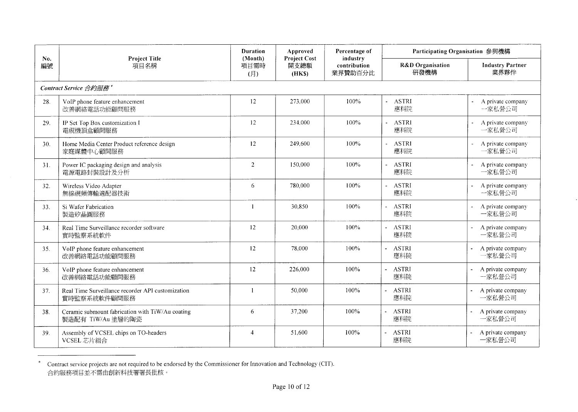|           | <b>Project Title</b>                                                  | Duration               | Approved                              | Percentage of                       | Participating Organisation 參與機構          |                                 |
|-----------|-----------------------------------------------------------------------|------------------------|---------------------------------------|-------------------------------------|------------------------------------------|---------------------------------|
| No.<br>編號 | 項目名稱                                                                  | (Month)<br>項目需時<br>(月) | <b>Project Cost</b><br>開支總額<br>(HK\$) | industry<br>contribution<br>業界贊助百分比 | <b>R&amp;D</b> Organisation<br>研發機構      | <b>Industry Partner</b><br>業界夥伴 |
|           | Contract Service 合約服務 <sup>*</sup>                                    |                        |                                       |                                     |                                          |                                 |
| 28.       | VoIP phone feature enhancement<br>改善網絡電話功能顧問服務                        | 12                     | 273.000                               | 100%                                | - ASTRI<br>應科院                           | A private company<br>一家私營公司     |
| 29.       | IP Set Top Box customization I<br>電視機頂盒顧問服務                           | 12                     | 234,000                               | 100%                                | <b>ASTRI</b><br>應科院                      | A private company<br>一家私營公司     |
| 30.       | Home Media Center Product reference design<br>家庭媒體中心顧問服務              | 12                     | 249.600                               | 100%                                | <b>ASTRI</b><br>應科院                      | A private company<br>一家私營公司     |
| 31.       | Power IC packaging design and analysis<br>電源電路封裝設計及分析                 | 2                      | 150.000                               | 100%                                | ASTRI<br>$\overline{\phantom{0}}$<br>應科院 | A private company<br>一家私營公司     |
| 32.       | Wireless Video Adapter<br>無線視頻傳輸適配器技術                                 | 6                      | 780,000                               | 100%                                | - ASTRI<br>應科院                           | A private company<br>一家私營公司     |
| 33.       | Si Wafer Fabrication<br>製造矽晶圓服務                                       | $\mathbf{1}$           | 30.850                                | 100%                                | <b>ASTRI</b><br>應科院                      | A private company<br>一家私營公司     |
| 34.       | Real Time Surveillance recorder software<br>實時監察系統軟件                  | 12                     | 20.000                                | 100%                                | - ASTRI<br>應科院                           | A private company<br>一家私營公司     |
| 35.       | VoIP phone feature enhancement<br>改善網絡電話功能顧問服務                        | 12                     | 78,000                                | 100%                                | - ASTRI<br>應科院                           | A private company<br>一家私營公司     |
| 36.       | VoIP phone feature enhancement<br>改善網絡電話功能顧問服務                        | 12                     | 226.000                               | 100%                                | <b>ASTRI</b><br>$\mathbf{r}$<br>應科院      | A private company<br>一家私營公司     |
| 37.       | Real Time Surveillance recorder API customization<br>實時監察系統軟件顧問服務     | $\blacksquare$         | 50,000                                | 100%                                | <b>ASTRI</b><br>應科院                      | A private company<br>一家私營公司     |
| 38.       | Ceramic submount fabrication with TiW/Au coating<br>製造配有 TiW/Au 塗層的陶瓷 | $\sqrt{6}$             | 37,200                                | 100%                                | - ASTRI<br>應科院                           | A private company<br>一家私營公司     |
| 39.       | Assembly of VCSEL chips on TO-headers<br>VCSEL 芯片組合                   | $\overline{4}$         | 51,600                                | 100%                                | <b>ASTRI</b><br>應科院                      | A private company<br>一家私營公司     |

<sup>\*</sup> Contract service projects are not required to be endorsed by the Commissioner for Innovation and Technology (CIT).<br>合約服務項目並不需由創新科技署署長批核。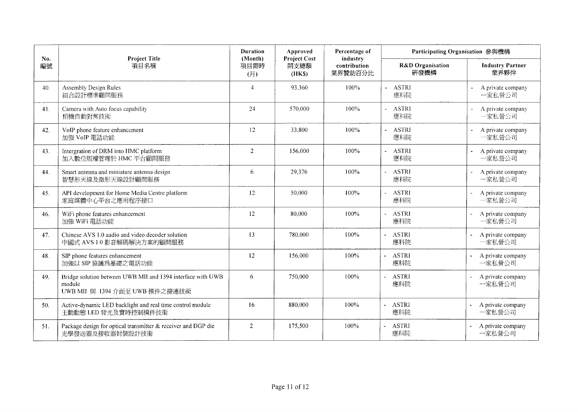|           |                                                                                                         | <b>Duration</b>        | Approved                              | Percentage of                       | Participating Organisation 參與機構             |                                 |
|-----------|---------------------------------------------------------------------------------------------------------|------------------------|---------------------------------------|-------------------------------------|---------------------------------------------|---------------------------------|
| No.<br>編號 | <b>Project Title</b><br>項目名稱                                                                            | (Month)<br>項目需時<br>(H) | <b>Project Cost</b><br>開支總額<br>(HK\$) | industry<br>contribution<br>業界贊助百分比 | R&D Organisation<br>研發機構                    | <b>Industry Partner</b><br>業界夥伴 |
| 40.       | <b>Assembly Design Rules</b><br>組合設計標準顧問服務                                                              | $\overline{4}$         | 93.360                                | 100%                                | - ASTRI<br>應科院                              | A private company<br>一家私營公司     |
| 41.       | Camera with Auto focus capability<br>相機自動對焦技術                                                           | 24                     | 570.000                               | 100%                                | - ASTRI<br>應科院                              | A private company<br>一家私營公司     |
| 42.       | VoIP phone feature enhancement<br>加強 VoIP 電話功能                                                          | 12                     | 33.800                                | 100%                                | <b>ASTRI</b><br>應科院                         | A private company<br>一家私營公司     |
| 43.       | Intergration of DRM into HMC platform<br>加入數位版權管理於 HMC 平台顧問服務                                           | $\overline{2}$         | 156,000                               | 100%                                | <b>ASTRI</b><br>應科院                         | A private company<br>一家私營公司     |
| 44.       | Smart antenna and miniature antenna design<br>智慧形天線及微形天線設計顧問服務                                          | 6                      | 29,376                                | 100%                                | <b>ASTRI</b><br>應科院                         | A private company<br>一家私營公司     |
| 45.       | API development for Home Media Centre platform<br>家庭媒體中心平台之應用程序接口                                       | 12                     | 50.000                                | 100%                                | <b>ASTRI</b><br>應科院                         | A private company<br>一家私營公司     |
| 46.       | WiFi phone features enhancement<br>加強 WiFi 電話功能                                                         | 12                     | 80.000                                | 100%                                | <b>ASTRI</b><br>應科院                         | A private company<br>一家私營公司     |
| 47.       | Chinese AVS 1.0 audio and video decoder solution<br>中國式 AVS 1.0 影音解碼解決方案的顧問服務                           | 13                     | 780,000                               | 100%                                | <b>ASTRI</b><br>應科院                         | A private company<br>一家私營公司     |
| 48.       | SIP phone features enhancement<br>加強以 SIP 協議為基礎之電話功能                                                    | 12                     | 156,000                               | 100%                                | <b>ASTRI</b><br>$\blacksquare$<br>應科院       | A private company<br>一家私營公司     |
| 49.       | Bridge solution between UWB MII and 1394 interface with UWB<br>module<br>UWB MII 與 1394 介面至 UWB 模件之接連技術 | 6                      | 750,000                               | 100%                                | <b>ASTRI</b><br>$\overline{a}$<br>應科院       | A private company<br>一家私營公司     |
| 50.       | Active-dynamic LED backlight and real time control module<br>主動動態 LED 背光及實時控制模件技術                       | 16                     | 880,000                               | 100%                                | <b>ASTRI</b><br>$\ddot{\phantom{a}}$<br>應科院 | A private company<br>一家私營公司     |
| 51.       | Package design for optical transmitter & receiver and DGP die<br>光學發送器及接收器封裝設計技術                        | $\overline{2}$         | 175,500                               | 100%                                | <b>ASTRI</b><br>應科院                         | A private company<br>一家私營公司     |